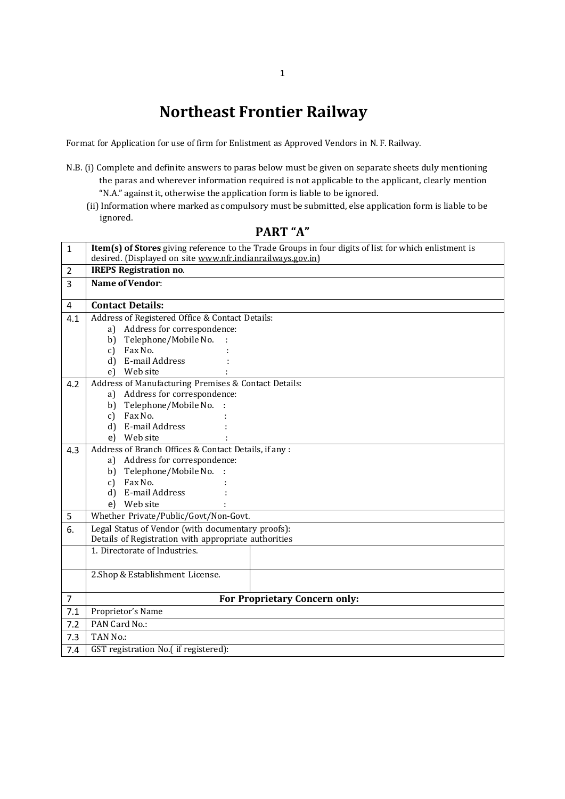## **Northeast Frontier Railway**

Format for Application for use of firm for Enlistment as Approved Vendors in N. F. Railway.

- N.B. (i) Complete and definite answers to paras below must be given on separate sheets duly mentioning the paras and wherever information required is not applicable to the applicant, clearly mention "N.A." against it, otherwise the application form is liable to be ignored.
	- (ii) Information where marked as compulsory must be submitted, else application form is liable to be ignored.

| $\mathbf{1}$            | Item(s) of Stores giving reference to the Trade Groups in four digits of list for which enlistment is<br>desired. (Displayed on site www.nfr.indianrailways.gov.in) |  |
|-------------------------|---------------------------------------------------------------------------------------------------------------------------------------------------------------------|--|
| $\overline{2}$          | <b>IREPS Registration no.</b>                                                                                                                                       |  |
| $\overline{3}$          | <b>Name of Vendor:</b>                                                                                                                                              |  |
|                         |                                                                                                                                                                     |  |
| $\overline{\mathbf{4}}$ | <b>Contact Details:</b>                                                                                                                                             |  |
| 4.1                     | Address of Registered Office & Contact Details:                                                                                                                     |  |
|                         | Address for correspondence:<br>a)                                                                                                                                   |  |
|                         | Telephone/Mobile No.<br>b)                                                                                                                                          |  |
|                         | Fax No.<br>$c$ )                                                                                                                                                    |  |
|                         | d) E-mail Address                                                                                                                                                   |  |
|                         | Web site<br>e)                                                                                                                                                      |  |
| 4.2                     | Address of Manufacturing Premises & Contact Details:                                                                                                                |  |
|                         | a) Address for correspondence:                                                                                                                                      |  |
|                         | Telephone/Mobile No. :<br>b)                                                                                                                                        |  |
|                         | Fax No.<br>c)                                                                                                                                                       |  |
|                         | E-mail Address<br>d)                                                                                                                                                |  |
|                         | Web site<br>e)                                                                                                                                                      |  |
| 4.3                     | Address of Branch Offices & Contact Details, if any :                                                                                                               |  |
|                         | a) Address for correspondence:                                                                                                                                      |  |
|                         | Telephone/Mobile No. :<br>b)                                                                                                                                        |  |
|                         | Fax No.<br>c)                                                                                                                                                       |  |
|                         | E-mail Address<br>d)                                                                                                                                                |  |
|                         | Web site<br>e)                                                                                                                                                      |  |
| 5                       | Whether Private/Public/Govt/Non-Govt.                                                                                                                               |  |
| 6.                      | Legal Status of Vendor (with documentary proofs):                                                                                                                   |  |
|                         | Details of Registration with appropriate authorities                                                                                                                |  |
|                         | 1. Directorate of Industries.                                                                                                                                       |  |
|                         |                                                                                                                                                                     |  |
|                         | 2.Shop & Establishment License.                                                                                                                                     |  |
| $\overline{7}$          | For Proprietary Concern only:                                                                                                                                       |  |
| 7.1                     | Proprietor's Name                                                                                                                                                   |  |
| 7.2                     | PAN Card No.:                                                                                                                                                       |  |
| 7.3                     | TAN No.:                                                                                                                                                            |  |
| 7.4                     | GST registration No.( if registered):                                                                                                                               |  |
|                         |                                                                                                                                                                     |  |

**PART "A"**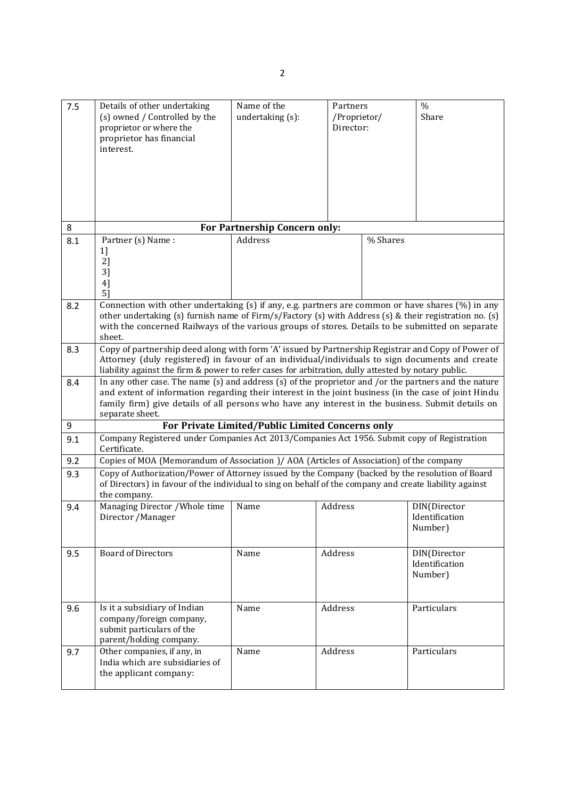| 7.5 | Details of other undertaking<br>(s) owned / Controlled by the<br>proprietor or where the<br>proprietor has financial<br>interest.                                                                                                                                                                                                         | Name of the<br>undertaking (s): | Partners<br>/Proprietor/<br>Director: | $\frac{0}{0}$<br>Share                    |
|-----|-------------------------------------------------------------------------------------------------------------------------------------------------------------------------------------------------------------------------------------------------------------------------------------------------------------------------------------------|---------------------------------|---------------------------------------|-------------------------------------------|
| 8   |                                                                                                                                                                                                                                                                                                                                           | For Partnership Concern only:   |                                       |                                           |
| 8.1 | Partner (s) Name:<br>1]<br>2]<br>3]<br>4]<br>5]                                                                                                                                                                                                                                                                                           | Address                         | % Shares                              |                                           |
| 8.2 | Connection with other undertaking (s) if any, e.g. partners are common or have shares (%) in any<br>other undertaking (s) furnish name of Firm/s/Factory (s) with Address (s) & their registration no. (s)<br>with the concerned Railways of the various groups of stores. Details to be submitted on separate<br>sheet.                  |                                 |                                       |                                           |
| 8.3 | Copy of partnership deed along with form 'A' issued by Partnership Registrar and Copy of Power of<br>Attorney (duly registered) in favour of an individual/individuals to sign documents and create<br>liability against the firm & power to refer cases for arbitration, dully attested by notary public.                                |                                 |                                       |                                           |
| 8.4 | In any other case. The name $(s)$ and address $(s)$ of the proprietor and /or the partners and the nature<br>and extent of information regarding their interest in the joint business (in the case of joint Hindu<br>family firm) give details of all persons who have any interest in the business. Submit details on<br>separate sheet. |                                 |                                       |                                           |
| 9   | For Private Limited/Public Limited Concerns only                                                                                                                                                                                                                                                                                          |                                 |                                       |                                           |
| 9.1 | Company Registered under Companies Act 2013/Companies Act 1956. Submit copy of Registration<br>Certificate.                                                                                                                                                                                                                               |                                 |                                       |                                           |
| 9.2 | Copies of MOA (Memorandum of Association )/ AOA (Articles of Association) of the company                                                                                                                                                                                                                                                  |                                 |                                       |                                           |
| 9.3 | Copy of Authorization/Power of Attorney issued by the Company (backed by the resolution of Board<br>of Directors) in favour of the individual to sing on behalf of the company and create liability against<br>the company.                                                                                                               |                                 |                                       |                                           |
| 9.4 | Managing Director / Whole time<br>Director / Manager                                                                                                                                                                                                                                                                                      | Name                            | Address                               | DIN(Director<br>Identification<br>Number) |
| 9.5 | <b>Board of Directors</b>                                                                                                                                                                                                                                                                                                                 | Name                            | Address                               | DIN(Director<br>Identification<br>Number) |
| 9.6 | Is it a subsidiary of Indian<br>company/foreign company,<br>submit particulars of the<br>parent/holding company.                                                                                                                                                                                                                          | Name                            | Address                               | Particulars                               |
| 9.7 | Other companies, if any, in<br>India which are subsidiaries of<br>the applicant company:                                                                                                                                                                                                                                                  | Name                            | Address                               | Particulars                               |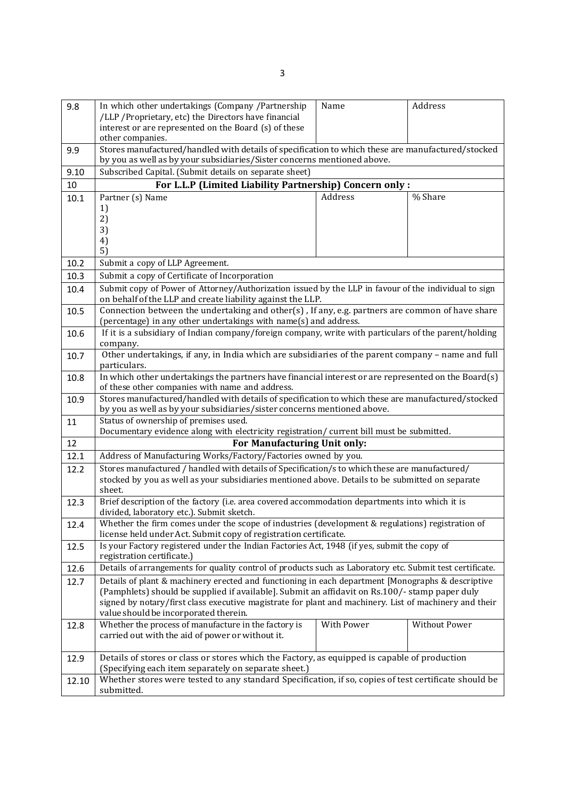| 9.8   | In which other undertakings (Company /Partnership                                                                                                                            | Name                                                                                                  | Address       |  |
|-------|------------------------------------------------------------------------------------------------------------------------------------------------------------------------------|-------------------------------------------------------------------------------------------------------|---------------|--|
|       | /LLP / Proprietary, etc) the Directors have financial                                                                                                                        |                                                                                                       |               |  |
|       | interest or are represented on the Board (s) of these                                                                                                                        |                                                                                                       |               |  |
|       | other companies.                                                                                                                                                             |                                                                                                       |               |  |
| 9.9   | Stores manufactured/handled with details of specification to which these are manufactured/stocked<br>by you as well as by your subsidiaries/Sister concerns mentioned above. |                                                                                                       |               |  |
| 9.10  | Subscribed Capital. (Submit details on separate sheet)                                                                                                                       |                                                                                                       |               |  |
| 10    | For L.L.P (Limited Liability Partnership) Concern only :                                                                                                                     |                                                                                                       |               |  |
| 10.1  | Address<br>% Share<br>Partner (s) Name                                                                                                                                       |                                                                                                       |               |  |
|       | 1)                                                                                                                                                                           |                                                                                                       |               |  |
|       | 2)                                                                                                                                                                           |                                                                                                       |               |  |
|       | 3)                                                                                                                                                                           |                                                                                                       |               |  |
|       | 4)<br>5)                                                                                                                                                                     |                                                                                                       |               |  |
| 10.2  | Submit a copy of LLP Agreement.                                                                                                                                              |                                                                                                       |               |  |
| 10.3  | Submit a copy of Certificate of Incorporation                                                                                                                                |                                                                                                       |               |  |
| 10.4  | Submit copy of Power of Attorney/Authorization issued by the LLP in favour of the individual to sign                                                                         |                                                                                                       |               |  |
|       | on behalf of the LLP and create liability against the LLP.                                                                                                                   |                                                                                                       |               |  |
| 10.5  | Connection between the undertaking and other(s), If any, e.g. partners are common of have share                                                                              |                                                                                                       |               |  |
|       | (percentage) in any other undertakings with name(s) and address.                                                                                                             |                                                                                                       |               |  |
| 10.6  |                                                                                                                                                                              | If it is a subsidiary of Indian company/foreign company, write with particulars of the parent/holding |               |  |
|       | company.                                                                                                                                                                     |                                                                                                       |               |  |
| 10.7  | Other undertakings, if any, in India which are subsidiaries of the parent company - name and full<br>particulars.                                                            |                                                                                                       |               |  |
| 10.8  | In which other undertakings the partners have financial interest or are represented on the Board(s)                                                                          |                                                                                                       |               |  |
|       | of these other companies with name and address.                                                                                                                              |                                                                                                       |               |  |
| 10.9  | Stores manufactured/handled with details of specification to which these are manufactured/stocked                                                                            |                                                                                                       |               |  |
|       | by you as well as by your subsidiaries/sister concerns mentioned above.                                                                                                      |                                                                                                       |               |  |
| 11    | Status of ownership of premises used.                                                                                                                                        |                                                                                                       |               |  |
| 12    | Documentary evidence along with electricity registration/ current bill must be submitted.<br>For Manufacturing Unit only:                                                    |                                                                                                       |               |  |
| 12.1  | Address of Manufacturing Works/Factory/Factories owned by you.                                                                                                               |                                                                                                       |               |  |
| 12.2  | Stores manufactured / handled with details of Specification/s to which these are manufactured/                                                                               |                                                                                                       |               |  |
|       | stocked by you as well as your subsidiaries mentioned above. Details to be submitted on separate                                                                             |                                                                                                       |               |  |
|       | sheet.                                                                                                                                                                       |                                                                                                       |               |  |
| 12.3  | Brief description of the factory (i.e. area covered accommodation departments into which it is                                                                               |                                                                                                       |               |  |
|       | divided, laboratory etc.). Submit sketch.                                                                                                                                    |                                                                                                       |               |  |
| 12.4  | Whether the firm comes under the scope of industries (development & regulations) registration of                                                                             |                                                                                                       |               |  |
|       | license held under Act. Submit copy of registration certificate.<br>Is your Factory registered under the Indian Factories Act, 1948 (if yes, submit the copy of              |                                                                                                       |               |  |
| 12.5  | registration certificate.)                                                                                                                                                   |                                                                                                       |               |  |
| 12.6  | Details of arrangements for quality control of products such as Laboratory etc. Submit test certificate.                                                                     |                                                                                                       |               |  |
| 12.7  | Details of plant & machinery erected and functioning in each department [Monographs & descriptive                                                                            |                                                                                                       |               |  |
|       | (Pamphlets) should be supplied if available]. Submit an affidavit on Rs.100/- stamp paper duly                                                                               |                                                                                                       |               |  |
|       | signed by notary/first class executive magistrate for plant and machinery. List of machinery and their                                                                       |                                                                                                       |               |  |
|       | value should be incorporated therein.                                                                                                                                        |                                                                                                       |               |  |
| 12.8  | Whether the process of manufacture in the factory is                                                                                                                         | With Power                                                                                            | Without Power |  |
|       | carried out with the aid of power or without it.                                                                                                                             |                                                                                                       |               |  |
| 12.9  | Details of stores or class or stores which the Factory, as equipped is capable of production                                                                                 |                                                                                                       |               |  |
|       | (Specifying each item separately on separate sheet.)                                                                                                                         |                                                                                                       |               |  |
| 12.10 | Whether stores were tested to any standard Specification, if so, copies of test certificate should be                                                                        |                                                                                                       |               |  |
|       | submitted.                                                                                                                                                                   |                                                                                                       |               |  |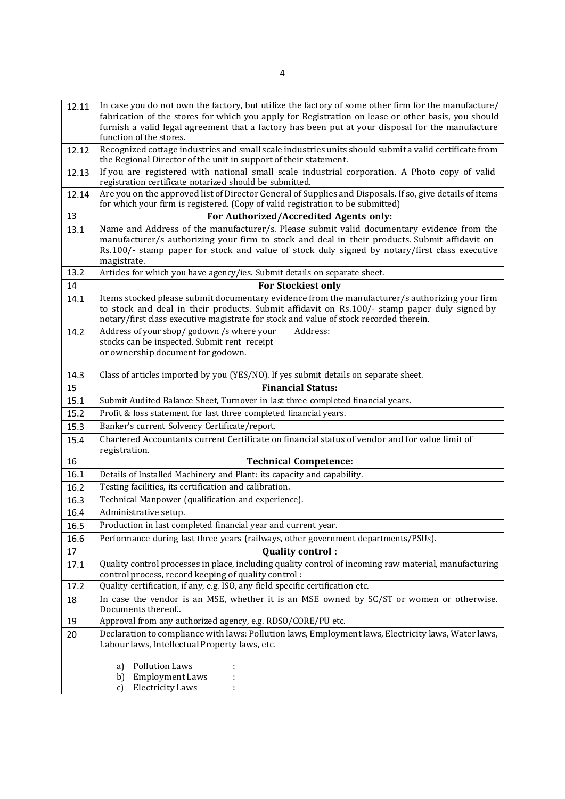| 12.11      | In case you do not own the factory, but utilize the factory of some other firm for the manufacture/<br>fabrication of the stores for which you apply for Registration on lease or other basis, you should<br>furnish a valid legal agreement that a factory has been put at your disposal for the manufacture<br>function of the stores. |  |
|------------|------------------------------------------------------------------------------------------------------------------------------------------------------------------------------------------------------------------------------------------------------------------------------------------------------------------------------------------|--|
| 12.12      | Recognized cottage industries and small scale industries units should submit a valid certificate from<br>the Regional Director of the unit in support of their statement.                                                                                                                                                                |  |
| 12.13      | If you are registered with national small scale industrial corporation. A Photo copy of valid<br>registration certificate notarized should be submitted.                                                                                                                                                                                 |  |
| 12.14      | Are you on the approved list of Director General of Supplies and Disposals. If so, give details of items                                                                                                                                                                                                                                 |  |
|            | for which your firm is registered. (Copy of valid registration to be submitted)                                                                                                                                                                                                                                                          |  |
| 13         | For Authorized/Accredited Agents only:                                                                                                                                                                                                                                                                                                   |  |
| 13.1       | Name and Address of the manufacturer/s. Please submit valid documentary evidence from the<br>manufacturer/s authorizing your firm to stock and deal in their products. Submit affidavit on<br>Rs.100/- stamp paper for stock and value of stock duly signed by notary/first class executive<br>magistrate.                               |  |
| 13.2       | Articles for which you have agency/ies. Submit details on separate sheet.                                                                                                                                                                                                                                                                |  |
| 14         | <b>For Stockiest only</b>                                                                                                                                                                                                                                                                                                                |  |
| 14.1       | Items stocked please submit documentary evidence from the manufacturer/s authorizing your firm<br>to stock and deal in their products. Submit affidavit on Rs.100/- stamp paper duly signed by<br>notary/first class executive magistrate for stock and value of stock recorded therein.                                                 |  |
| 14.2       | Address of your shop/godown /s where your<br>Address:<br>stocks can be inspected. Submit rent receipt<br>or ownership document for godown.                                                                                                                                                                                               |  |
| 14.3       | Class of articles imported by you (YES/NO). If yes submit details on separate sheet.                                                                                                                                                                                                                                                     |  |
| 15         | <b>Financial Status:</b>                                                                                                                                                                                                                                                                                                                 |  |
| 15.1       | Submit Audited Balance Sheet, Turnover in last three completed financial years.                                                                                                                                                                                                                                                          |  |
| 15.2       | Profit & loss statement for last three completed financial years.                                                                                                                                                                                                                                                                        |  |
| 15.3       | Banker's current Solvency Certificate/report.                                                                                                                                                                                                                                                                                            |  |
| 15.4       | Chartered Accountants current Certificate on financial status of vendor and for value limit of<br>registration.                                                                                                                                                                                                                          |  |
| 16         | <b>Technical Competence:</b>                                                                                                                                                                                                                                                                                                             |  |
| 16.1       | Details of Installed Machinery and Plant: its capacity and capability.                                                                                                                                                                                                                                                                   |  |
| 16.2       | Testing facilities, its certification and calibration.                                                                                                                                                                                                                                                                                   |  |
| 16.3       | Technical Manpower (qualification and experience).                                                                                                                                                                                                                                                                                       |  |
| 16.4       | Administrative setup.                                                                                                                                                                                                                                                                                                                    |  |
| 16.5       | Production in last completed financial year and current year.<br>Performance during last three years (railways, other government departments/PSUs).                                                                                                                                                                                      |  |
| 16.6<br>17 |                                                                                                                                                                                                                                                                                                                                          |  |
| 17.1       | <b>Quality control:</b><br>Quality control processes in place, including quality control of incoming raw material, manufacturing                                                                                                                                                                                                         |  |
|            | control process, record keeping of quality control:                                                                                                                                                                                                                                                                                      |  |
| 17.2       | Quality certification, if any, e.g. ISO, any field specific certification etc.                                                                                                                                                                                                                                                           |  |
| 18         | In case the vendor is an MSE, whether it is an MSE owned by SC/ST or women or otherwise.<br>Documents thereof                                                                                                                                                                                                                            |  |
| 19         | Approval from any authorized agency, e.g. RDSO/CORE/PU etc.                                                                                                                                                                                                                                                                              |  |
| 20         | Declaration to compliance with laws: Pollution laws, Employment laws, Electricity laws, Water laws,<br>Labour laws, Intellectual Property laws, etc.                                                                                                                                                                                     |  |
|            | <b>Pollution Laws</b><br>a)                                                                                                                                                                                                                                                                                                              |  |
|            | Employment Laws<br>b)<br><b>Electricity Laws</b><br>c)                                                                                                                                                                                                                                                                                   |  |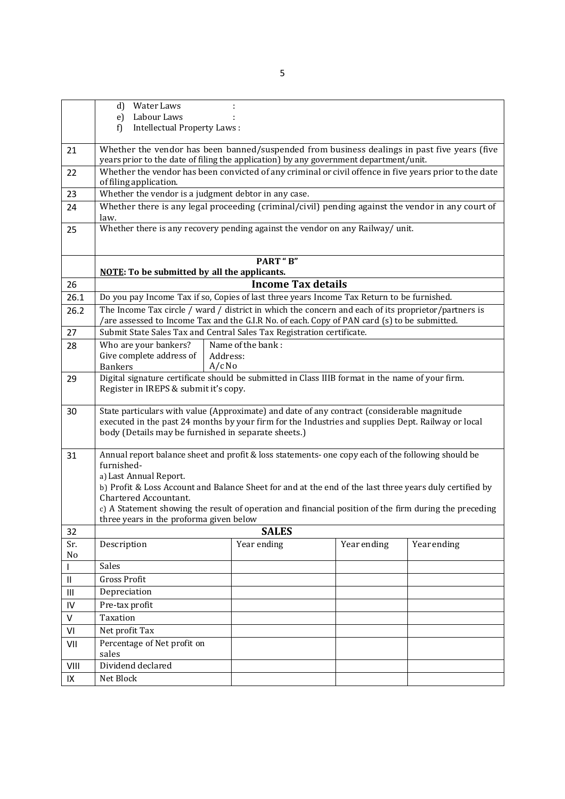|                                    | Water Laws<br>d)<br>Labour Laws<br>e)                                                                                                                                                                                                                                                                                                                                                                                               |                           |             |             |
|------------------------------------|-------------------------------------------------------------------------------------------------------------------------------------------------------------------------------------------------------------------------------------------------------------------------------------------------------------------------------------------------------------------------------------------------------------------------------------|---------------------------|-------------|-------------|
|                                    | Intellectual Property Laws:<br>f)                                                                                                                                                                                                                                                                                                                                                                                                   |                           |             |             |
| 21                                 | Whether the vendor has been banned/suspended from business dealings in past five years (five<br>years prior to the date of filing the application) by any government department/unit.                                                                                                                                                                                                                                               |                           |             |             |
| 22                                 | Whether the vendor has been convicted of any criminal or civil offence in five years prior to the date<br>of filing application.                                                                                                                                                                                                                                                                                                    |                           |             |             |
| 23                                 | Whether the vendor is a judgment debtor in any case.                                                                                                                                                                                                                                                                                                                                                                                |                           |             |             |
| 24                                 | Whether there is any legal proceeding (criminal/civil) pending against the vendor in any court of<br>law.                                                                                                                                                                                                                                                                                                                           |                           |             |             |
| 25                                 | Whether there is any recovery pending against the vendor on any Railway/ unit.                                                                                                                                                                                                                                                                                                                                                      |                           |             |             |
|                                    | <b>NOTE:</b> To be submitted by all the applicants.                                                                                                                                                                                                                                                                                                                                                                                 | <b>PART</b> "B"           |             |             |
| 26                                 |                                                                                                                                                                                                                                                                                                                                                                                                                                     | <b>Income Tax details</b> |             |             |
| 26.1                               | Do you pay Income Tax if so, Copies of last three years Income Tax Return to be furnished.                                                                                                                                                                                                                                                                                                                                          |                           |             |             |
| 26.2                               |                                                                                                                                                                                                                                                                                                                                                                                                                                     |                           |             |             |
|                                    | The Income Tax circle / ward / district in which the concern and each of its proprietor/partners is<br>/are assessed to Income Tax and the G.I.R No. of each. Copy of PAN card (s) to be submitted.                                                                                                                                                                                                                                 |                           |             |             |
| 27                                 | Submit State Sales Tax and Central Sales Tax Registration certificate.                                                                                                                                                                                                                                                                                                                                                              |                           |             |             |
| 28                                 | Who are your bankers?<br>Give complete address of<br>Address:<br>$A/c$ No<br><b>Bankers</b>                                                                                                                                                                                                                                                                                                                                         | Name of the bank:         |             |             |
| 29                                 | Digital signature certificate should be submitted in Class IIIB format in the name of your firm.<br>Register in IREPS & submit it's copy.                                                                                                                                                                                                                                                                                           |                           |             |             |
| 30                                 | State particulars with value (Approximate) and date of any contract (considerable magnitude<br>executed in the past 24 months by your firm for the Industries and supplies Dept. Railway or local<br>body (Details may be furnished in separate sheets.)                                                                                                                                                                            |                           |             |             |
| 31                                 | Annual report balance sheet and profit & loss statements- one copy each of the following should be<br>furnished-<br>a) Last Annual Report.<br>b) Profit & Loss Account and Balance Sheet for and at the end of the last three years duly certified by<br>Chartered Accountant.<br>c) A Statement showing the result of operation and financial position of the firm during the preceding<br>three years in the proforma given below |                           |             |             |
| 32                                 |                                                                                                                                                                                                                                                                                                                                                                                                                                     | <b>SALES</b>              |             |             |
| Sr.<br>No                          | Description                                                                                                                                                                                                                                                                                                                                                                                                                         | Year ending               | Year ending | Year ending |
|                                    | Sales                                                                                                                                                                                                                                                                                                                                                                                                                               |                           |             |             |
| $\sf II$                           | Gross Profit                                                                                                                                                                                                                                                                                                                                                                                                                        |                           |             |             |
| $\ensuremath{\mathsf{III}}\xspace$ | Depreciation                                                                                                                                                                                                                                                                                                                                                                                                                        |                           |             |             |
| IV                                 | Pre-tax profit                                                                                                                                                                                                                                                                                                                                                                                                                      |                           |             |             |
| V                                  | Taxation                                                                                                                                                                                                                                                                                                                                                                                                                            |                           |             |             |
| VI                                 | Net profit Tax                                                                                                                                                                                                                                                                                                                                                                                                                      |                           |             |             |
| VII                                | Percentage of Net profit on<br>sales                                                                                                                                                                                                                                                                                                                                                                                                |                           |             |             |
| VIII                               | Dividend declared                                                                                                                                                                                                                                                                                                                                                                                                                   |                           |             |             |
| IX                                 | Net Block                                                                                                                                                                                                                                                                                                                                                                                                                           |                           |             |             |
|                                    |                                                                                                                                                                                                                                                                                                                                                                                                                                     |                           |             |             |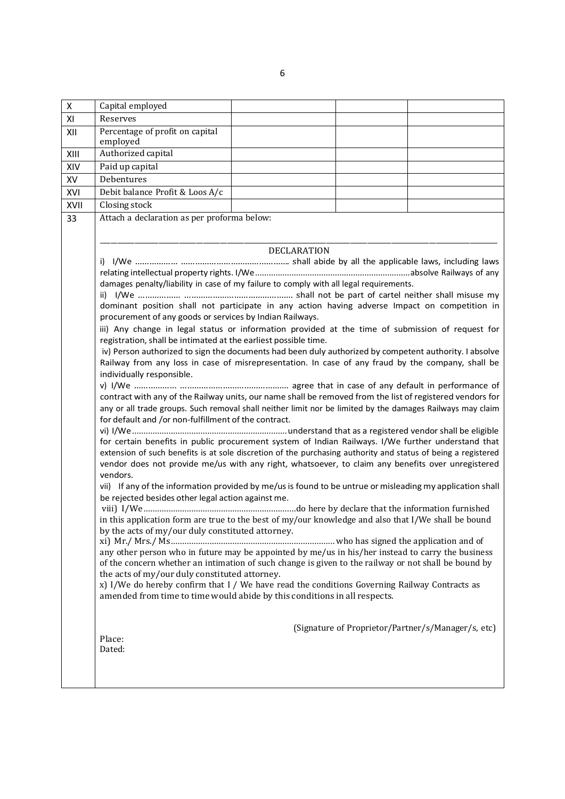X Capital employed XI Reserves XII Percentage of profit on capital employed XIII Authorized capital XIV Paid up capital XV Debentures XVI Debit balance Profit & Loos A/c XVII Closing stock 33 Attach a declaration as per proforma below: DECLARATION i) I/We ……………… ………………………………………. shall abide by all the applicable laws, including laws relating intellectual property rights. I/We....................................................................absolve Railways of any damages penalty/liability in case of my failure to comply with all legal requirements. ii) I/We ……………… ………………………………………. shall not be part of cartel neither shall misuse my dominant position shall not participate in any action having adverse Impact on competition in procurement of any goods or services by Indian Railways. iii) Any change in legal status or information provided at the time of submission of request for registration, shall be intimated at the earliest possible time. iv) Person authorized to sign the documents had been duly authorized by competent authority. I absolve Railway from any loss in case of misrepresentation. In case of any fraud by the company, shall be individually responsible. v) I/We ……………… ………………………………………. agree that in case of any default in performance of contract with any of the Railway units, our name shall be removed from the list of registered vendors for any or all trade groups. Such removal shall neither limit nor be limited by the damages Railways may claim for default and /or non-fulfillment of the contract. vi) I/We....................................................................understand that as a registered vendor shall be eligible for certain benefits in public procurement system of Indian Railways. I/We further understand that extension of such benefits is at sole discretion of the purchasing authority and status of being a registered vendor does not provide me/us with any right, whatsoever, to claim any benefits over unregistered vendors. vii) If any of the information provided by me/usis found to be untrue or misleading my application shall be rejected besides other legal action against me. viii) I/We...................................................................do here by declare that the information furnished in this application form are true to the best of my/our knowledge and also that I/We shall be bound by the acts of my/our duly constituted attorney. xi) Mr./ Mrs./ Ms........................................................................ who has signed the application and of any other person who in future may be appointed by me/us in his/her instead to carry the business of the concern whether an intimation of such change is given to the railway or not shall be bound by the acts of my/our duly constituted attorney. x) I/We do hereby confirm that I / We have read the conditions Governing Railway Contracts as amended from time to time would abide by this conditions in all respects. (Signature of Proprietor/Partner/s/Manager/s, etc) Place: Dated:

6